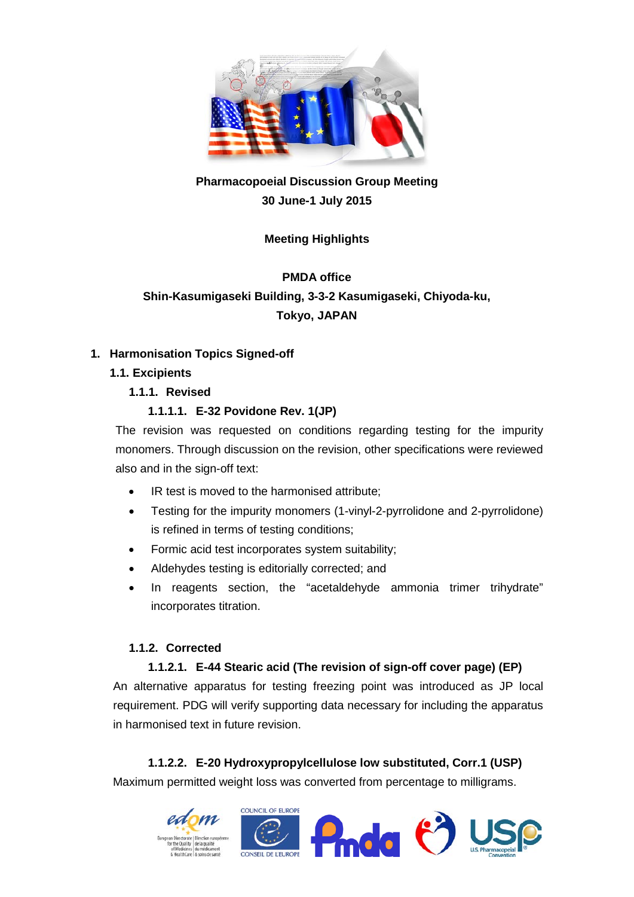

# **Pharmacopoeial Discussion Group Meeting 30 June-1 July 2015**

# **Meeting Highlights**

# **PMDA office Shin-Kasumigaseki Building, 3-3-2 Kasumigaseki, Chiyoda-ku, Tokyo, JAPAN**

### **1. Harmonisation Topics Signed-off**

# **1.1. Excipients**

# **1.1.1. Revised**

# **1.1.1.1. E-32 Povidone Rev. 1(JP)**

The revision was requested on conditions regarding testing for the impurity monomers. Through discussion on the revision, other specifications were reviewed also and in the sign-off text:

- IR test is moved to the harmonised attribute;
- Testing for the impurity monomers (1-vinyl-2-pyrrolidone and 2-pyrrolidone) is refined in terms of testing conditions;
- Formic acid test incorporates system suitability;
- Aldehydes testing is editorially corrected; and
- In reagents section, the "acetaldehyde ammonia trimer trihydrate" incorporates titration.

#### **1.1.2. Corrected**

# **1.1.2.1. E-44 Stearic acid (The revision of sign-off cover page) (EP)**

An alternative apparatus for testing freezing point was introduced as JP local requirement. PDG will verify supporting data necessary for including the apparatus in harmonised text in future revision.

# **1.1.2.2. E-20 Hydroxypropylcellulose low substituted, Corr.1 (USP)**

Maximum permitted weight loss was converted from percentage to milligrams.

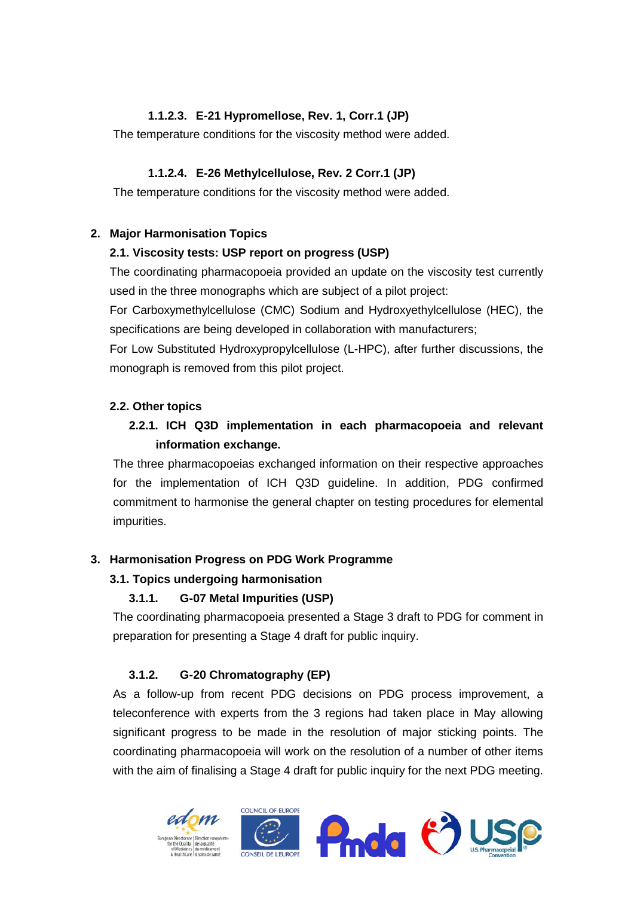# **1.1.2.3. E-21 Hypromellose, Rev. 1, Corr.1 (JP)**

The temperature conditions for the viscosity method were added.

# **1.1.2.4. E-26 Methylcellulose, Rev. 2 Corr.1 (JP)**

The temperature conditions for the viscosity method were added.

### **2. Major Harmonisation Topics**

### **2.1. Viscosity tests: USP report on progress (USP)**

The coordinating pharmacopoeia provided an update on the viscosity test currently used in the three monographs which are subject of a pilot project:

For Carboxymethylcellulose (CMC) Sodium and Hydroxyethylcellulose (HEC), the specifications are being developed in collaboration with manufacturers;

For Low Substituted Hydroxypropylcellulose (L-HPC), after further discussions, the monograph is removed from this pilot project.

# **2.2. Other topics**

# **2.2.1. ICH Q3D implementation in each pharmacopoeia and relevant information exchange.**

The three pharmacopoeias exchanged information on their respective approaches for the implementation of ICH Q3D guideline. In addition, PDG confirmed commitment to harmonise the general chapter on testing procedures for elemental impurities.

# **3. Harmonisation Progress on PDG Work Programme**

# **3.1. Topics undergoing harmonisation**

# **3.1.1. G-07 Metal Impurities (USP)**

The coordinating pharmacopoeia presented a Stage 3 draft to PDG for comment in preparation for presenting a Stage 4 draft for public inquiry.

#### **3.1.2. G-20 Chromatography (EP)**

As a follow-up from recent PDG decisions on PDG process improvement, a teleconference with experts from the 3 regions had taken place in May allowing significant progress to be made in the resolution of major sticking points. The coordinating pharmacopoeia will work on the resolution of a number of other items with the aim of finalising a Stage 4 draft for public inquiry for the next PDG meeting.

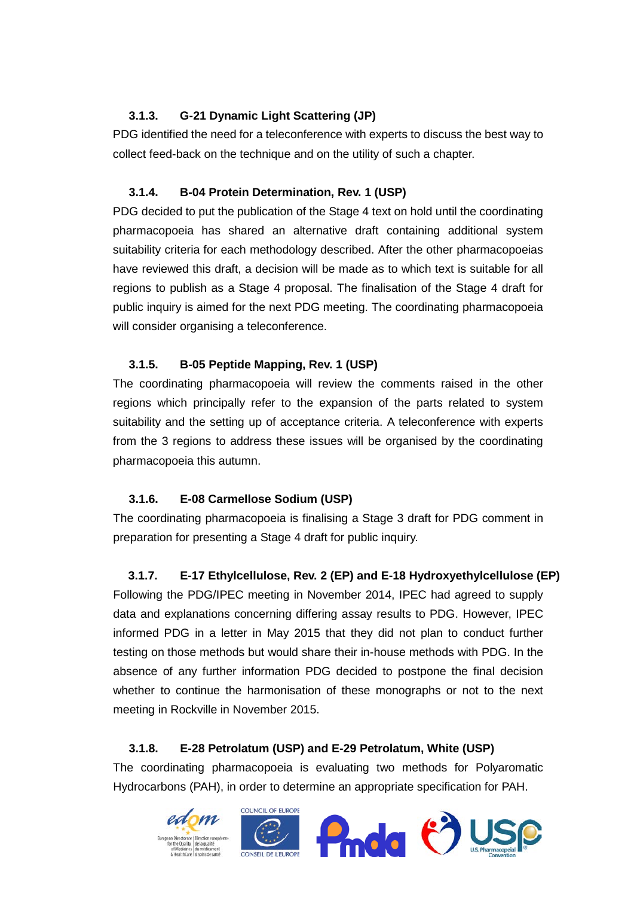# **3.1.3. G-21 Dynamic Light Scattering (JP)**

PDG identified the need for a teleconference with experts to discuss the best way to collect feed-back on the technique and on the utility of such a chapter.

# **3.1.4. B-04 Protein Determination, Rev. 1 (USP)**

PDG decided to put the publication of the Stage 4 text on hold until the coordinating pharmacopoeia has shared an alternative draft containing additional system suitability criteria for each methodology described. After the other pharmacopoeias have reviewed this draft, a decision will be made as to which text is suitable for all regions to publish as a Stage 4 proposal. The finalisation of the Stage 4 draft for public inquiry is aimed for the next PDG meeting. The coordinating pharmacopoeia will consider organising a teleconference.

# **3.1.5. B-05 Peptide Mapping, Rev. 1 (USP)**

The coordinating pharmacopoeia will review the comments raised in the other regions which principally refer to the expansion of the parts related to system suitability and the setting up of acceptance criteria. A teleconference with experts from the 3 regions to address these issues will be organised by the coordinating pharmacopoeia this autumn.

# **3.1.6. E-08 Carmellose Sodium (USP)**

The coordinating pharmacopoeia is finalising a Stage 3 draft for PDG comment in preparation for presenting a Stage 4 draft for public inquiry.

# **3.1.7. E-17 Ethylcellulose, Rev. 2 (EP) and E-18 Hydroxyethylcellulose (EP)**

Following the PDG/IPEC meeting in November 2014, IPEC had agreed to supply data and explanations concerning differing assay results to PDG. However, IPEC informed PDG in a letter in May 2015 that they did not plan to conduct further testing on those methods but would share their in-house methods with PDG. In the absence of any further information PDG decided to postpone the final decision whether to continue the harmonisation of these monographs or not to the next meeting in Rockville in November 2015.

# **3.1.8. E-28 Petrolatum (USP) and E-29 Petrolatum, White (USP)**

The coordinating pharmacopoeia is evaluating two methods for Polyaromatic Hydrocarbons (PAH), in order to determine an appropriate specification for PAH.

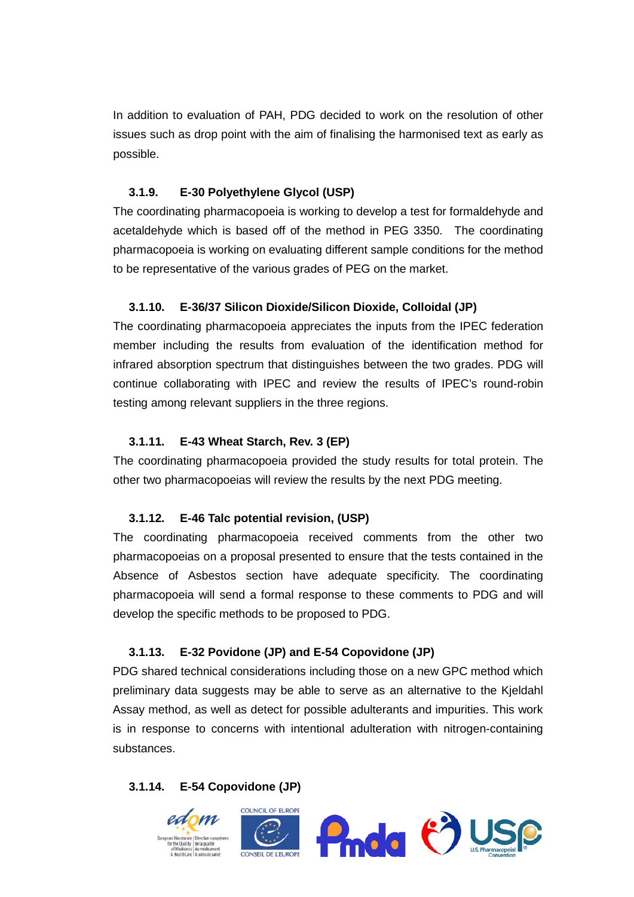In addition to evaluation of PAH, PDG decided to work on the resolution of other issues such as drop point with the aim of finalising the harmonised text as early as possible.

#### **3.1.9. E-30 Polyethylene Glycol (USP)**

The coordinating pharmacopoeia is working to develop a test for formaldehyde and acetaldehyde which is based off of the method in PEG 3350. The coordinating pharmacopoeia is working on evaluating different sample conditions for the method to be representative of the various grades of PEG on the market.

#### **3.1.10. E-36/37 Silicon Dioxide/Silicon Dioxide, Colloidal (JP)**

The coordinating pharmacopoeia appreciates the inputs from the IPEC federation member including the results from evaluation of the identification method for infrared absorption spectrum that distinguishes between the two grades. PDG will continue collaborating with IPEC and review the results of IPEC's round-robin testing among relevant suppliers in the three regions.

#### **3.1.11. E-43 Wheat Starch, Rev. 3 (EP)**

The coordinating pharmacopoeia provided the study results for total protein. The other two pharmacopoeias will review the results by the next PDG meeting.

#### **3.1.12. E-46 Talc potential revision, (USP)**

The coordinating pharmacopoeia received comments from the other two pharmacopoeias on a proposal presented to ensure that the tests contained in the Absence of Asbestos section have adequate specificity. The coordinating pharmacopoeia will send a formal response to these comments to PDG and will develop the specific methods to be proposed to PDG.

#### **3.1.13. E-32 Povidone (JP) and E-54 Copovidone (JP)**

PDG shared technical considerations including those on a new GPC method which preliminary data suggests may be able to serve as an alternative to the Kjeldahl Assay method, as well as detect for possible adulterants and impurities. This work is in response to concerns with intentional adulteration with nitrogen-containing substances.

#### **3.1.14. E-54 Copovidone (JP)**

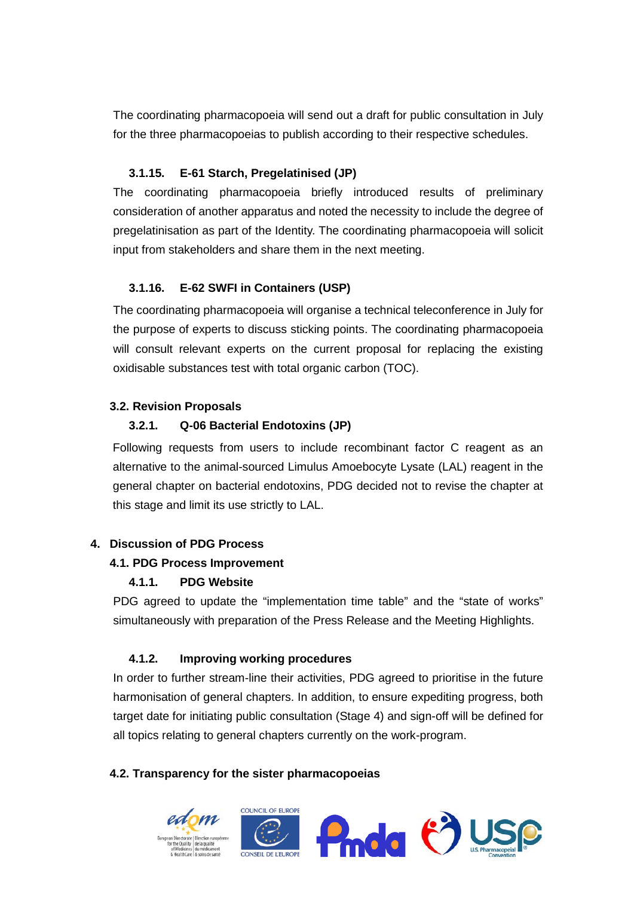The coordinating pharmacopoeia will send out a draft for public consultation in July for the three pharmacopoeias to publish according to their respective schedules.

### **3.1.15. E-61 Starch, Pregelatinised (JP)**

The coordinating pharmacopoeia briefly introduced results of preliminary consideration of another apparatus and noted the necessity to include the degree of pregelatinisation as part of the Identity. The coordinating pharmacopoeia will solicit input from stakeholders and share them in the next meeting.

#### **3.1.16. E-62 SWFI in Containers (USP)**

The coordinating pharmacopoeia will organise a technical teleconference in July for the purpose of experts to discuss sticking points. The coordinating pharmacopoeia will consult relevant experts on the current proposal for replacing the existing oxidisable substances test with total organic carbon (TOC).

#### **3.2. Revision Proposals**

### **3.2.1. Q-06 Bacterial Endotoxins (JP)**

Following requests from users to include recombinant factor C reagent as an alternative to the animal-sourced Limulus Amoebocyte Lysate (LAL) reagent in the general chapter on bacterial endotoxins, PDG decided not to revise the chapter at this stage and limit its use strictly to LAL.

#### **4. Discussion of PDG Process**

#### **4.1. PDG Process Improvement**

#### **4.1.1. PDG Website**

PDG agreed to update the "implementation time table" and the "state of works" simultaneously with preparation of the Press Release and the Meeting Highlights.

#### **4.1.2. Improving working procedures**

In order to further stream-line their activities, PDG agreed to prioritise in the future harmonisation of general chapters. In addition, to ensure expediting progress, both target date for initiating public consultation (Stage 4) and sign-off will be defined for all topics relating to general chapters currently on the work-program.

#### **4.2. Transparency for the sister pharmacopoeias**